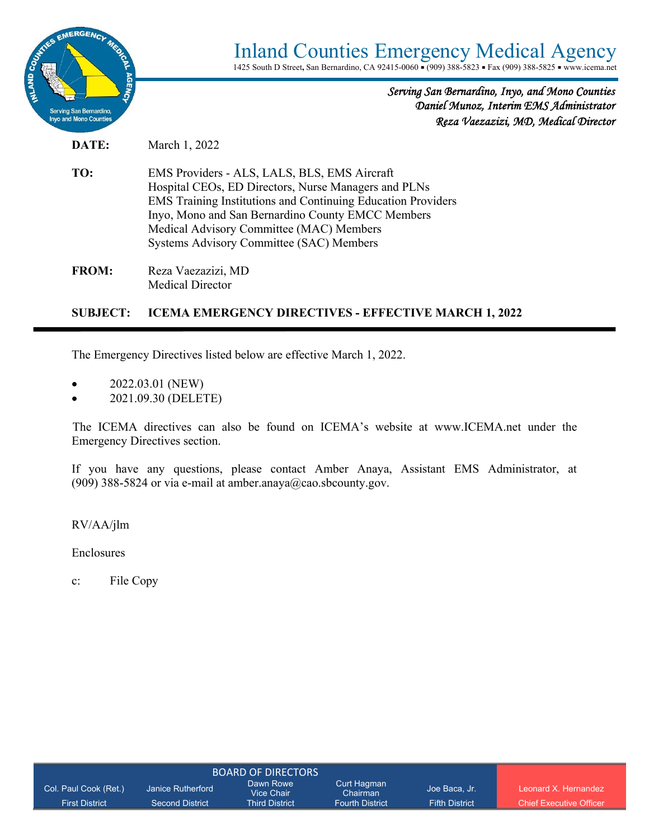

1425 South D Street**,** San Bernardino, CA 92415-0060 (909) 388-5823 Fax (909) 388-5825 www.icema.net

*Serving San Bernardino, Inyo, and Mono Counties Daniel Munoz, Interim EMS Administrator Reza Vaezazizi, MD, Medical Director* 

**DATE:** March 1, 2022

- **TO:** EMS Providers ALS, LALS, BLS, EMS Aircraft Hospital CEOs, ED Directors, Nurse Managers and PLNs EMS Training Institutions and Continuing Education Providers Inyo, Mono and San Bernardino County EMCC Members Medical Advisory Committee (MAC) Members Systems Advisory Committee (SAC) Members
- **FROM:** Reza Vaezazizi, MD Medical Director

## **SUBJECT: ICEMA EMERGENCY DIRECTIVES - EFFECTIVE MARCH 1, 2022**

The Emergency Directives listed below are effective March 1, 2022.

- 2022.03.01 (NEW)
- 2021.09.30 (DELETE)

The ICEMA directives can also be found on ICEMA's website at www.ICEMA.net under the Emergency Directives section.

If you have any questions, please contact Amber Anaya, Assistant EMS Administrator, at (909) 388-5824 or via e-mail at amber.anaya@cao.sbcounty.gov.

RV/AA/jlm

Enclosures

c: File Copy

| <b>BOARD OF DIRECTORS</b> |                        |                         |                         |                       |                                |
|---------------------------|------------------------|-------------------------|-------------------------|-----------------------|--------------------------------|
| Col. Paul Cook (Ret.)     | Janice Rutherford      | Dawn Rowe<br>Vice Chair | Curt Hagman<br>Chairman | Joe Baca, Jr.         | Leonard X Hernandez            |
| <b>First District</b>     | <b>Second District</b> | <b>Third District</b>   | <b>Fourth District</b>  | <b>Fifth District</b> | <b>Chief Executive Officer</b> |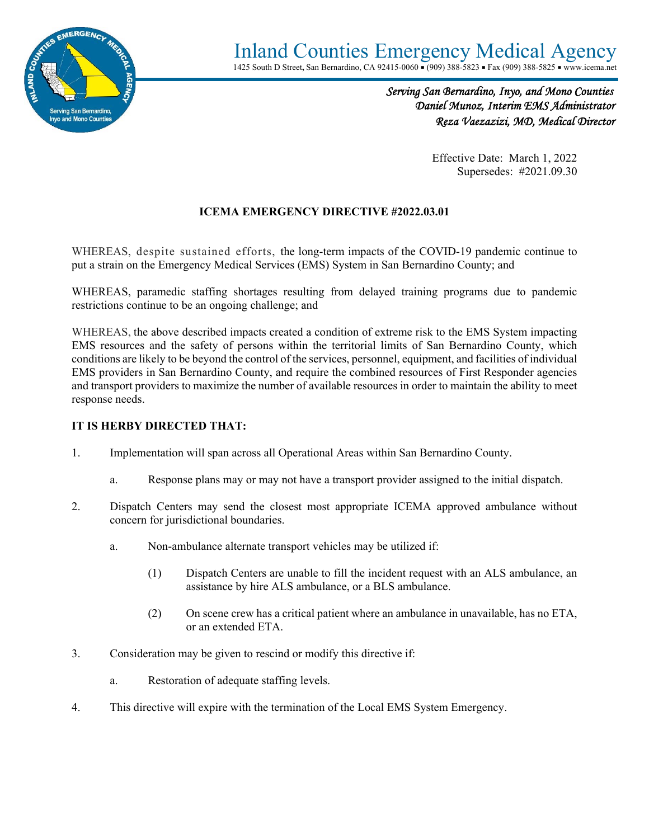

1425 South D Street**,** San Bernardino, CA 92415-0060 (909) 388-5823 Fax (909) 388-5825 www.icema.net

*Serving San Bernardino, Inyo, and Mono Counties Daniel Munoz, Interim EMS Administrator Reza Vaezazizi, MD, Medical Director* 

> Effective Date: March 1, 2022 Supersedes: #2021.09.30

### **ICEMA EMERGENCY DIRECTIVE #2022.03.01**

WHEREAS, despite sustained efforts, the long-term impacts of the COVID-19 pandemic continue to put a strain on the Emergency Medical Services (EMS) System in San Bernardino County; and

WHEREAS, paramedic staffing shortages resulting from delayed training programs due to pandemic restrictions continue to be an ongoing challenge; and

WHEREAS, the above described impacts created a condition of extreme risk to the EMS System impacting EMS resources and the safety of persons within the territorial limits of San Bernardino County, which conditions are likely to be beyond the control of the services, personnel, equipment, and facilities of individual EMS providers in San Bernardino County, and require the combined resources of First Responder agencies and transport providers to maximize the number of available resources in order to maintain the ability to meet response needs.

#### **IT IS HERBY DIRECTED THAT:**

- 1. Implementation will span across all Operational Areas within San Bernardino County.
	- a. Response plans may or may not have a transport provider assigned to the initial dispatch.
- 2. Dispatch Centers may send the closest most appropriate ICEMA approved ambulance without concern for jurisdictional boundaries.
	- a. Non-ambulance alternate transport vehicles may be utilized if:
		- (1) Dispatch Centers are unable to fill the incident request with an ALS ambulance, an assistance by hire ALS ambulance, or a BLS ambulance.
		- (2) On scene crew has a critical patient where an ambulance in unavailable, has no ETA, or an extended ETA.
- 3. Consideration may be given to rescind or modify this directive if:
	- a. Restoration of adequate staffing levels.
- 4. This directive will expire with the termination of the Local EMS System Emergency.